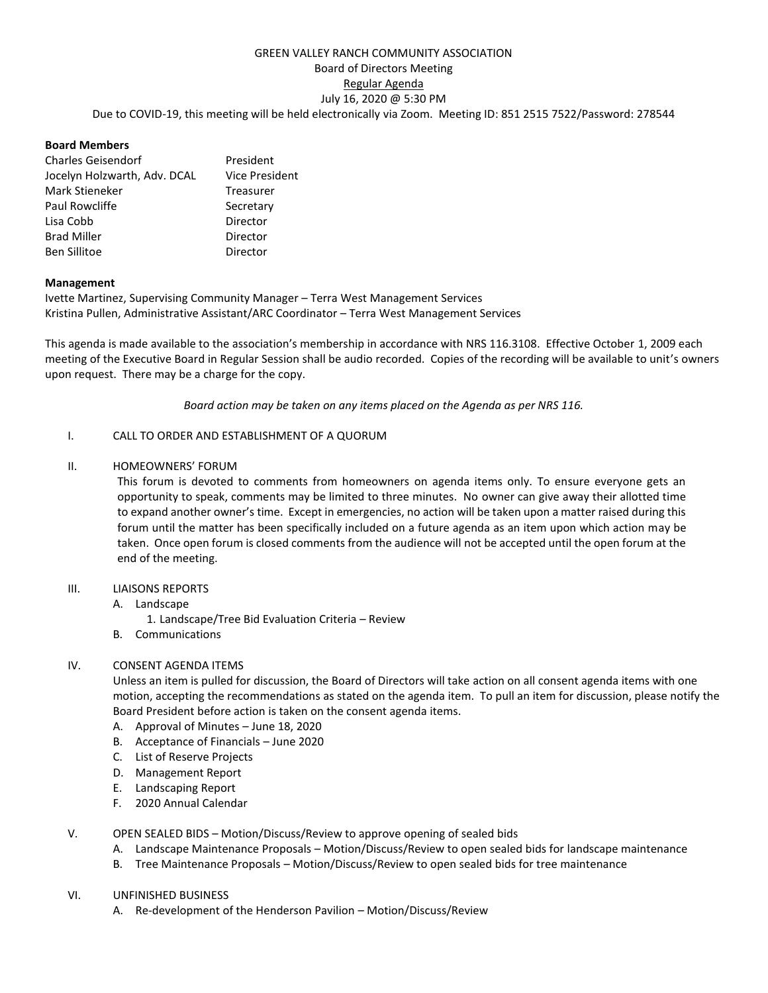# GREEN VALLEY RANCH COMMUNITY ASSOCIATION Board of Directors Meeting Regular Agenda July 16, 2020 @ 5:30 PM Due to COVID-19, this meeting will be held electronically via Zoom. Meeting ID: 851 2515 7522/Password: 278544

## **Board Members**

| <b>Charles Geisendorf</b>    | President             |
|------------------------------|-----------------------|
| Jocelyn Holzwarth, Adv. DCAL | <b>Vice President</b> |
| Mark Stieneker               | Treasurer             |
| Paul Rowcliffe               | Secretary             |
| Lisa Cobb                    | Director              |
| <b>Brad Miller</b>           | Director              |
| <b>Ben Sillitoe</b>          | Director              |

## **Management**

Ivette Martinez, Supervising Community Manager – Terra West Management Services Kristina Pullen, Administrative Assistant/ARC Coordinator – Terra West Management Services

This agenda is made available to the association's membership in accordance with NRS 116.3108. Effective October 1, 2009 each meeting of the Executive Board in Regular Session shall be audio recorded. Copies of the recording will be available to unit's owners upon request. There may be a charge for the copy.

*Board action may be taken on any items placed on the Agenda as per NRS 116.*

## I. CALL TO ORDER AND ESTABLISHMENT OF A QUORUM

## II. HOMEOWNERS' FORUM

This forum is devoted to comments from homeowners on agenda items only. To ensure everyone gets an opportunity to speak, comments may be limited to three minutes. No owner can give away their allotted time to expand another owner's time. Except in emergencies, no action will be taken upon a matter raised during this forum until the matter has been specifically included on a future agenda as an item upon which action may be taken. Once open forum is closed comments from the audience will not be accepted until the open forum at the end of the meeting.

#### III. LIAISONS REPORTS

- A. Landscape
	- 1. Landscape/Tree Bid Evaluation Criteria Review
- B. Communications

## IV. CONSENT AGENDA ITEMS

Unless an item is pulled for discussion, the Board of Directors will take action on all consent agenda items with one motion, accepting the recommendations as stated on the agenda item. To pull an item for discussion, please notify the Board President before action is taken on the consent agenda items.

- A. Approval of Minutes June 18, 2020
- B. Acceptance of Financials June 2020
- C. List of Reserve Projects
- D. Management Report
- E. Landscaping Report
- F. 2020 Annual Calendar

#### V. OPEN SEALED BIDS – Motion/Discuss/Review to approve opening of sealed bids

- A. Landscape Maintenance Proposals Motion/Discuss/Review to open sealed bids for landscape maintenance
- B. Tree Maintenance Proposals Motion/Discuss/Review to open sealed bids for tree maintenance
- VI. UNFINISHED BUSINESS
	- A. Re-development of the Henderson Pavilion Motion/Discuss/Review